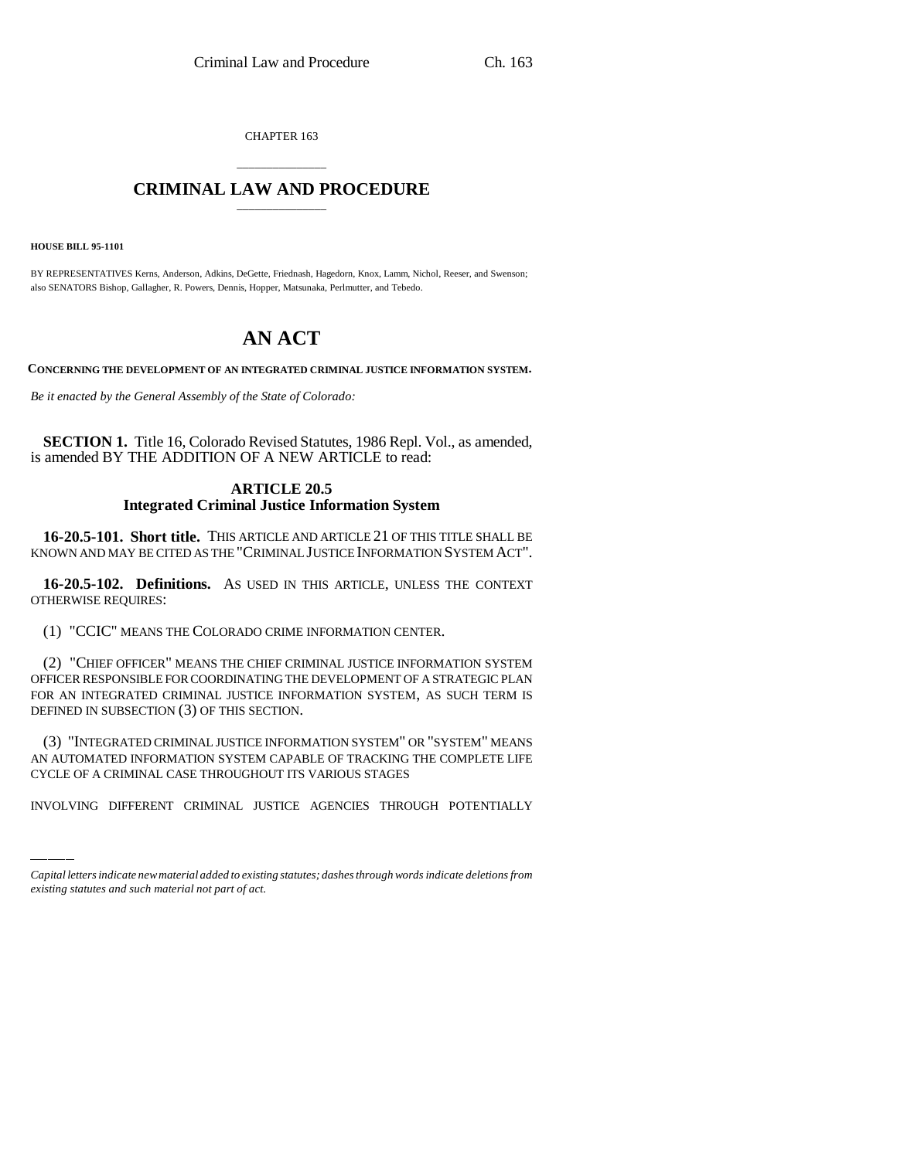CHAPTER 163

## \_\_\_\_\_\_\_\_\_\_\_\_\_\_\_ **CRIMINAL LAW AND PROCEDURE** \_\_\_\_\_\_\_\_\_\_\_\_\_\_\_

**HOUSE BILL 95-1101**

BY REPRESENTATIVES Kerns, Anderson, Adkins, DeGette, Friednash, Hagedorn, Knox, Lamm, Nichol, Reeser, and Swenson; also SENATORS Bishop, Gallagher, R. Powers, Dennis, Hopper, Matsunaka, Perlmutter, and Tebedo.

## **AN ACT**

**CONCERNING THE DEVELOPMENT OF AN INTEGRATED CRIMINAL JUSTICE INFORMATION SYSTEM.**

*Be it enacted by the General Assembly of the State of Colorado:*

**SECTION 1.** Title 16, Colorado Revised Statutes, 1986 Repl. Vol., as amended, is amended BY THE ADDITION OF A NEW ARTICLE to read:

## **ARTICLE 20.5 Integrated Criminal Justice Information System**

**16-20.5-101. Short title.** THIS ARTICLE AND ARTICLE 21 OF THIS TITLE SHALL BE KNOWN AND MAY BE CITED AS THE "CRIMINAL JUSTICE INFORMATION SYSTEM ACT".

**16-20.5-102. Definitions.** AS USED IN THIS ARTICLE, UNLESS THE CONTEXT OTHERWISE REQUIRES:

(1) "CCIC" MEANS THE COLORADO CRIME INFORMATION CENTER.

(2) "CHIEF OFFICER" MEANS THE CHIEF CRIMINAL JUSTICE INFORMATION SYSTEM OFFICER RESPONSIBLE FOR COORDINATING THE DEVELOPMENT OF A STRATEGIC PLAN FOR AN INTEGRATED CRIMINAL JUSTICE INFORMATION SYSTEM, AS SUCH TERM IS DEFINED IN SUBSECTION (3) OF THIS SECTION.

(3) INTEGRATED CRIMINAL JUSTICE INFORMATION SYSTEM OR SYSTEM MEANS<br>AN AUTOMATED INFORMATION SYSTEM CAPABLE OF TRACKING THE COMPLETE LIFE (3) "INTEGRATED CRIMINAL JUSTICE INFORMATION SYSTEM" OR "SYSTEM" MEANS CYCLE OF A CRIMINAL CASE THROUGHOUT ITS VARIOUS STAGES

INVOLVING DIFFERENT CRIMINAL JUSTICE AGENCIES THROUGH POTENTIALLY

*Capital letters indicate new material added to existing statutes; dashes through words indicate deletions from existing statutes and such material not part of act.*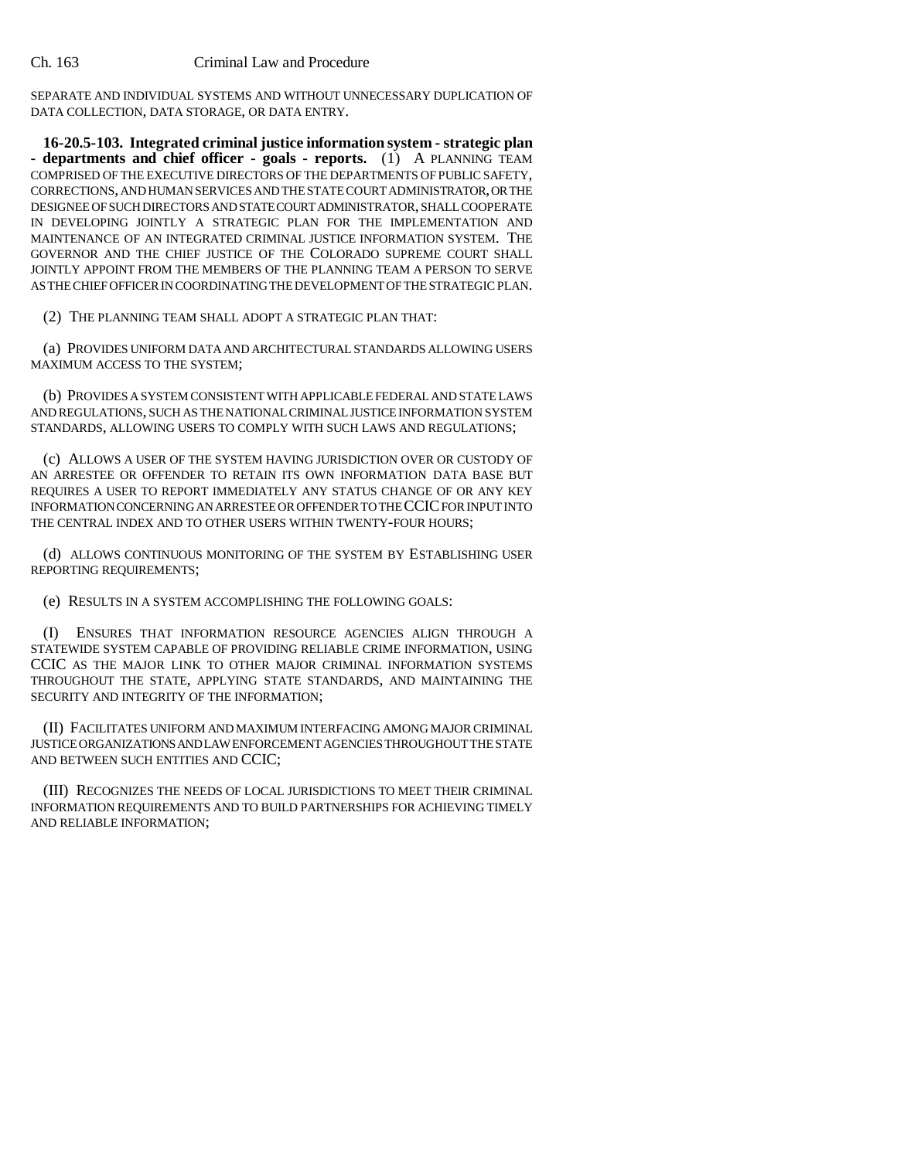SEPARATE AND INDIVIDUAL SYSTEMS AND WITHOUT UNNECESSARY DUPLICATION OF DATA COLLECTION, DATA STORAGE, OR DATA ENTRY.

**16-20.5-103. Integrated criminal justice information system - strategic plan - departments and chief officer - goals - reports.** (1) A PLANNING TEAM COMPRISED OF THE EXECUTIVE DIRECTORS OF THE DEPARTMENTS OF PUBLIC SAFETY, CORRECTIONS, AND HUMAN SERVICES AND THE STATE COURT ADMINISTRATOR, OR THE DESIGNEE OF SUCH DIRECTORS AND STATE COURT ADMINISTRATOR, SHALL COOPERATE IN DEVELOPING JOINTLY A STRATEGIC PLAN FOR THE IMPLEMENTATION AND MAINTENANCE OF AN INTEGRATED CRIMINAL JUSTICE INFORMATION SYSTEM. THE GOVERNOR AND THE CHIEF JUSTICE OF THE COLORADO SUPREME COURT SHALL JOINTLY APPOINT FROM THE MEMBERS OF THE PLANNING TEAM A PERSON TO SERVE AS THE CHIEF OFFICER IN COORDINATING THE DEVELOPMENT OF THE STRATEGIC PLAN.

(2) THE PLANNING TEAM SHALL ADOPT A STRATEGIC PLAN THAT:

(a) PROVIDES UNIFORM DATA AND ARCHITECTURAL STANDARDS ALLOWING USERS MAXIMUM ACCESS TO THE SYSTEM;

(b) PROVIDES A SYSTEM CONSISTENT WITH APPLICABLE FEDERAL AND STATE LAWS AND REGULATIONS, SUCH AS THE NATIONAL CRIMINAL JUSTICE INFORMATION SYSTEM STANDARDS, ALLOWING USERS TO COMPLY WITH SUCH LAWS AND REGULATIONS;

(c) ALLOWS A USER OF THE SYSTEM HAVING JURISDICTION OVER OR CUSTODY OF AN ARRESTEE OR OFFENDER TO RETAIN ITS OWN INFORMATION DATA BASE BUT REQUIRES A USER TO REPORT IMMEDIATELY ANY STATUS CHANGE OF OR ANY KEY INFORMATION CONCERNING AN ARRESTEE OR OFFENDER TO THE CCIC FOR INPUT INTO THE CENTRAL INDEX AND TO OTHER USERS WITHIN TWENTY-FOUR HOURS;

(d) ALLOWS CONTINUOUS MONITORING OF THE SYSTEM BY ESTABLISHING USER REPORTING REQUIREMENTS;

(e) RESULTS IN A SYSTEM ACCOMPLISHING THE FOLLOWING GOALS:

(I) ENSURES THAT INFORMATION RESOURCE AGENCIES ALIGN THROUGH A STATEWIDE SYSTEM CAPABLE OF PROVIDING RELIABLE CRIME INFORMATION, USING CCIC AS THE MAJOR LINK TO OTHER MAJOR CRIMINAL INFORMATION SYSTEMS THROUGHOUT THE STATE, APPLYING STATE STANDARDS, AND MAINTAINING THE SECURITY AND INTEGRITY OF THE INFORMATION;

(II) FACILITATES UNIFORM AND MAXIMUM INTERFACING AMONG MAJOR CRIMINAL JUSTICE ORGANIZATIONS AND LAW ENFORCEMENT AGENCIES THROUGHOUT THE STATE AND BETWEEN SUCH ENTITIES AND CCIC;

(III) RECOGNIZES THE NEEDS OF LOCAL JURISDICTIONS TO MEET THEIR CRIMINAL INFORMATION REQUIREMENTS AND TO BUILD PARTNERSHIPS FOR ACHIEVING TIMELY AND RELIABLE INFORMATION;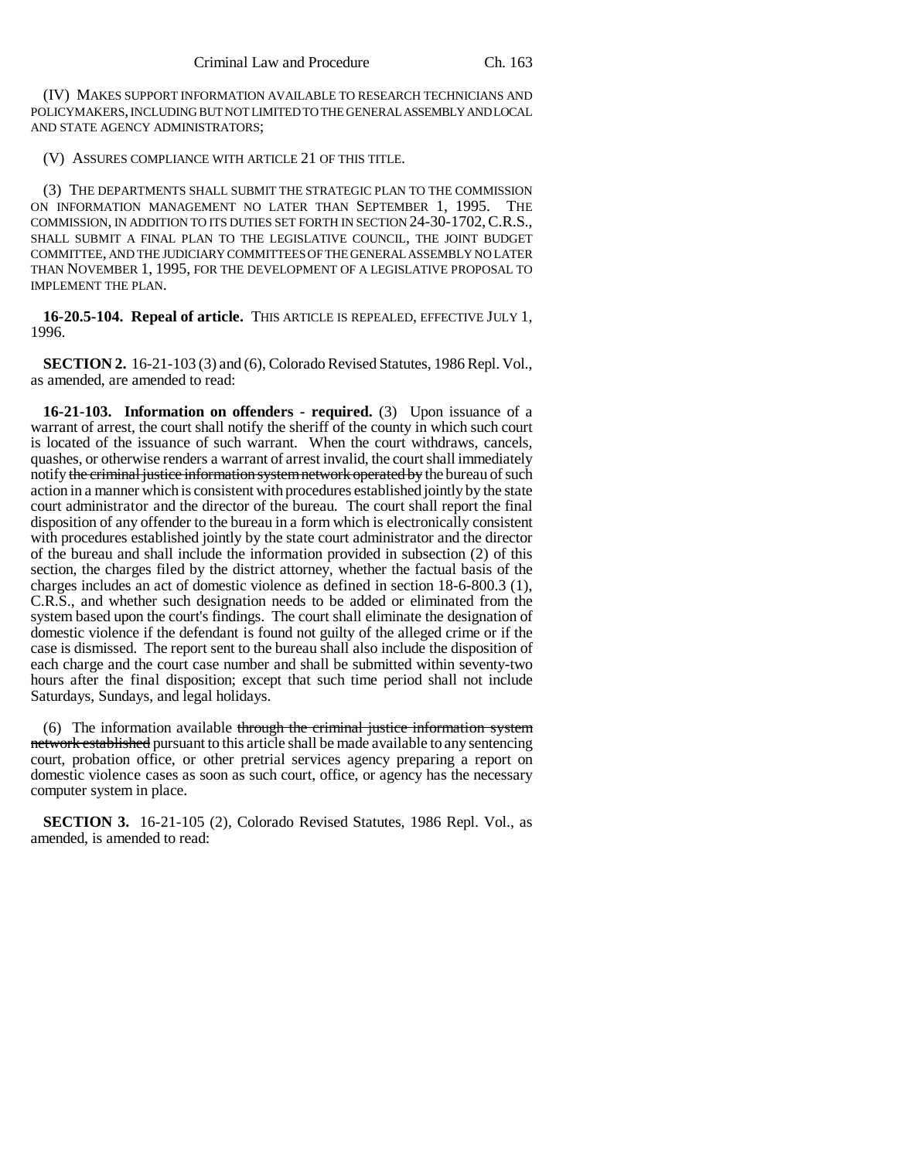(IV) MAKES SUPPORT INFORMATION AVAILABLE TO RESEARCH TECHNICIANS AND POLICYMAKERS, INCLUDING BUT NOT LIMITED TO THE GENERAL ASSEMBLY AND LOCAL AND STATE AGENCY ADMINISTRATORS;

(V) ASSURES COMPLIANCE WITH ARTICLE 21 OF THIS TITLE.

(3) THE DEPARTMENTS SHALL SUBMIT THE STRATEGIC PLAN TO THE COMMISSION ON INFORMATION MANAGEMENT NO LATER THAN SEPTEMBER 1, 1995. THE COMMISSION, IN ADDITION TO ITS DUTIES SET FORTH IN SECTION 24-30-1702,C.R.S., SHALL SUBMIT A FINAL PLAN TO THE LEGISLATIVE COUNCIL, THE JOINT BUDGET COMMITTEE, AND THE JUDICIARY COMMITTEES OF THE GENERAL ASSEMBLY NO LATER THAN NOVEMBER 1, 1995, FOR THE DEVELOPMENT OF A LEGISLATIVE PROPOSAL TO IMPLEMENT THE PLAN.

**16-20.5-104. Repeal of article.** THIS ARTICLE IS REPEALED, EFFECTIVE JULY 1, 1996.

**SECTION 2.** 16-21-103 (3) and (6), Colorado Revised Statutes, 1986 Repl. Vol., as amended, are amended to read:

**16-21-103. Information on offenders - required.** (3) Upon issuance of a warrant of arrest, the court shall notify the sheriff of the county in which such court is located of the issuance of such warrant. When the court withdraws, cancels, quashes, or otherwise renders a warrant of arrest invalid, the court shall immediately notify the criminal justice information system network operated by the bureau of such action in a manner which is consistent with procedures established jointly by the state court administrator and the director of the bureau. The court shall report the final disposition of any offender to the bureau in a form which is electronically consistent with procedures established jointly by the state court administrator and the director of the bureau and shall include the information provided in subsection (2) of this section, the charges filed by the district attorney, whether the factual basis of the charges includes an act of domestic violence as defined in section 18-6-800.3 (1), C.R.S., and whether such designation needs to be added or eliminated from the system based upon the court's findings. The court shall eliminate the designation of domestic violence if the defendant is found not guilty of the alleged crime or if the case is dismissed. The report sent to the bureau shall also include the disposition of each charge and the court case number and shall be submitted within seventy-two hours after the final disposition; except that such time period shall not include Saturdays, Sundays, and legal holidays.

(6) The information available through the criminal justice information system network established pursuant to this article shall be made available to any sentencing court, probation office, or other pretrial services agency preparing a report on domestic violence cases as soon as such court, office, or agency has the necessary computer system in place.

**SECTION 3.** 16-21-105 (2), Colorado Revised Statutes, 1986 Repl. Vol., as amended, is amended to read: